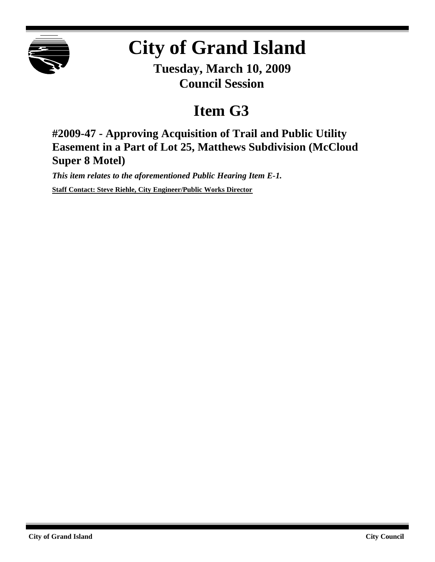

## **City of Grand Island**

**Tuesday, March 10, 2009 Council Session**

## **Item G3**

**#2009-47 - Approving Acquisition of Trail and Public Utility Easement in a Part of Lot 25, Matthews Subdivision (McCloud Super 8 Motel)**

*This item relates to the aforementioned Public Hearing Item E-1.* **Staff Contact: Steve Riehle, City Engineer/Public Works Director**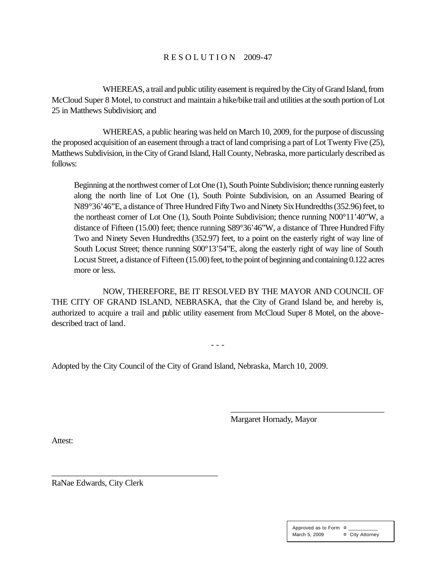## R E S O L U T I O N 2009-47

WHEREAS, a trail and public utility easement is required by the City of Grand Island, from McCloud Super 8 Motel, to construct and maintain a hike/bike trail and utilities at the south portion of Lot 25 in Matthews Subdivision; and

WHEREAS, a public hearing was held on March 10, 2009, for the purpose of discussing the proposed acquisition of an easement through a tract of land comprising a part of Lot Twenty Five (25), Matthews Subdivision, in the City of Grand Island, Hall County, Nebraska, more particularly described as follows:

Beginning at the northwest corner of Lot One (1), South Pointe Subdivision; thence running easterly along the north line of Lot One (1), South Pointe Subdivision, on an Assumed Bearing of N89°36'46"E, a distance of Three Hundred Fifty Two and Ninety Six Hundredths (352.96) feet, to the northeast corner of Lot One (1), South Pointe Subdivision; thence running N00°11'40"W, a distance of Fifteen (15.00) feet; thence running S89°36'46"W, a distance of Three Hundred Fifty Two and Ninety Seven Hundredths (352.97) feet, to a point on the easterly right of way line of South Locust Street; thence running S00°13'54"E, along the easterly right of way line of South Locust Street, a distance of Fifteen (15.00) feet, to the point of beginning and containing 0.122 acres more or less.

NOW, THEREFORE, BE IT RESOLVED BY THE MAYOR AND COUNCIL OF THE CITY OF GRAND ISLAND, NEBRASKA, that the City of Grand Island be, and hereby is, authorized to acquire a trail and public utility easement from McCloud Super 8 Motel, on the abovedescribed tract of land.

- - -

Adopted by the City Council of the City of Grand Island, Nebraska, March 10, 2009.

Margaret Hornady, Mayor

\_\_\_\_\_\_\_\_\_\_\_\_\_\_\_\_\_\_\_\_\_\_\_\_\_\_\_\_\_\_\_\_\_\_\_\_\_\_\_

Attest:

RaNae Edwards, City Clerk

\_\_\_\_\_\_\_\_\_\_\_\_\_\_\_\_\_\_\_\_\_\_\_\_\_\_\_\_\_\_\_\_\_\_\_\_\_\_\_

| Approved as to Form ¤ |                 |
|-----------------------|-----------------|
| March 5, 2009         | ¤ City Attorney |